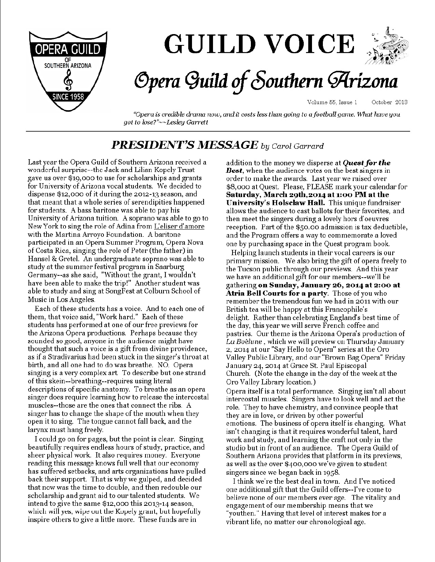

# **GUILD VOICE**



## Opera Guild of Southern Arizona

Volume 55, Issue 1 October 2013

"Opera is credible drama now, and it costs less than going to a football game. What have you got to lose?"~~Lesley Garrett

## **PRESIDENT'S MESSAGE** by Carol Garrard

Last year the Opera Guild of Southern Arizona received a wonderful surprise--the Jack and Lilian Kopely Trust gave us over \$19,000 to use for scholarships and grants for University of Arizona vocal students. We decided to dispense \$12,000 of it during the 2012-13 season, and that meant that a whole series of serendipities happened for students. A bass baritone was able to pay his University of Arizona tuition. A soprano was able to go to New York to sing the role of Adina from L'eliser d'amore with the Martina Arroyo Foundation. A baritone participated in an Opera Summer Program, Opera Nova of Costa Rica, singing the role of Peter (the father) in Hansel & Gretel. An undergraduate soprano was able to study at the summer festival program in Saarburg Germany--as she said, "Without the grant, I wouldn't have been able to make the trip!" Another student was able to study and sing at SongFest at Colburn School of Music in Los Angeles.

Each of these students has a voice. And to each one of them, that voice said, "Work hard." Each of these students has performed at one of our free previews for the Arizona Opera productions. Perhaps because they sounded so good, anyone in the audience might have thought that such a voice is a gift from divine providence, as if a Stradivarius had been stuck in the singer's throat at birth, and all one had to do was breathe. NO. Opera singing is a very complex art. To describe but one strand of this skein--breathing--requires using literal descriptions of specific anatomy. To breathe as an opera singer does require learning how to release the intercostal muscles--those are the ones that connect the ribs. A singer has to change the shape of the mouth when they open it to sing. The tongue cannot fall back, and the larynx must hang freely.

I could go on for pages, but the point is clear. Singing beautifully requires endless hours of study, practice, and sheer physical work. It also requires money. Everyone reading this message knows full well that our economy has suffered setbacks, and arts organizations have pulled back their support. That is why we gulped, and decided that now was the time to double, and then redouble our scholarship and grant aid to our talented students. We intend to give the same \$12,000 this 2013-14 season, which will yes, wipe out the Kopely grant, but hopefully inspire others to give a little more. These funds are in

addition to the money we disperse at **Quest for the Best**, when the audience votes on the best singers in order to make the awards. Last year we raised over \$8,000 at Quest. Please, PLEASE mark your calendar for Saturday, March 29th, 2014 at 1:00 PM at the University's Holsclaw Hall. This unique fundraiser allows the audience to cast ballots for their favorites, and then meet the singers during a lovely hors d'oeuvres reception. Part of the \$50.00 admission is tax deductible, and the Program offers a way to commemorate a loved one by purchasing space in the Quest program book.

Helping launch students in their vocal careers is our primary mission. We also bring the gift of opera freely to the Tucson public through our previews. And this year we have an additional gift for our members--we'll be gathering on Sunday, January 26, 2014 at 2:00 at Atria Bell Courts for a party. Those of you who remember the tremendous fun we had in 2011 with our British tea will be happy at this Francophile's delight. Rather than celebrating England's best time of the day, this year we will serve French coffee and pastries. Our theme is the Arizona Opera's production of La Boèhme, which we will preview on Thursday January 2, 2014 at our "Say Hello to Opera" series at the Oro Valley Public Library, and our "Brown Bag Opera" Friday January 24, 2014 at Grace St. Paul Episcopal Church. (Note the change in the day of the week at the Oro Valley Library location.)

Opera itself is a total performance. Singing isn't all about intercostal muscles. Singers have to look well and act the role. They to have chemistry, and convince people that they are in love, or driven by other powerful emotions. The business of opera itself is changing. What isn't changing is that it requires wonderful talent, hard work and study, and learning the craft not only in the studio but in front of an audience. The Opera Guild of Southern Arizona provides that platform in its previews, as well as the over \$400,000 we've given to student singers since we began back in 1958.

I think we're the best deal in town. And I've noticed one additional gift that the Guild offers--I've come to believe none of our members ever age. The vitality and engagement of our membership means that we youthen." Having that level of interest makes for a vibrant life, no matter our chronological age.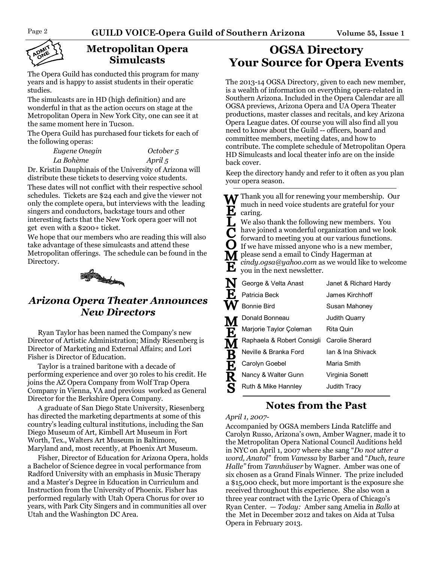

## **Metropolitan Opera Simulcasts**

The Opera Guild has conducted this program for many years and is happy to assist students in their operatic studies.

The simulcasts are in HD (high definition) and are wonderful in that as the action occurs on stage at the Metropolitan Opera in New York City, one can see it at the same moment here in Tucson.

The Opera Guild has purchased four tickets for each of the following operas:

| Eugene Onegin | October 5 |
|---------------|-----------|
| La Bohème     | April 5   |

Dr. Kristin Dauphinais of the University of Arizona will distribute these tickets to deserving voice students. These dates will not conflict with their respective school schedules. Tickets are \$24 each and give the viewer not only the complete opera, but interviews with the leading singers and conductors, backstage tours and other interesting facts that the New York opera goer will not get even with a \$200+ ticket.

We hope that our members who are reading this will also take advantage of these simulcasts and attend these Metropolitan offerings. The schedule can be found in the Directory.



## *Arizona Opera Theater Announces New Directors*

Ryan Taylor has been named the Company's new Director of Artistic Administration; Mindy Riesenberg is Director of Marketing and External Affairs; and Lori Fisher is Director of Education.

Taylor is a trained baritone with a decade of performing experience and over 30 roles to his credit. He joins the AZ Opera Company from Wolf Trap Opera Company in Vienna, VA and previous worked as General Director for the Berkshire Opera Company.

A graduate of San Diego State University, Riesenberg has directed the marketing departments at some of this country's leading cultural institutions, including the San Diego Museum of Art, Kimbell Art Museum in Fort Worth, Tex., Walters Art Museum in Baltimore, Maryland and, most recently, at Phoenix Art Museum.

Fisher, Director of Education for Arizona Opera, holds a Bachelor of Science degree in vocal performance from Radford University with an emphasis in Music Therapy and a Master's Degree in Education in Curriculum and Instruction from the University of Phoenix. Fisher has performed regularly with Utah Opera Chorus for over 10 years, with Park City Singers and in communities all over Utah and the Washington DC Area.

## **OGSA Directory Your Source for Opera Events**

The 2013-14 OGSA Directory, given to each new member, is a wealth of information on everything opera-related in Southern Arizona. Included in the Opera Calendar are all OGSA previews, Arizona Opera and UA Opera Theater productions, master classes and recitals, and key Arizona Opera League dates. Of course you will also find all you need to know about the Guild -- officers, board and committee members, meeting dates, and how to contribute. The complete schedule of Metropolitan Opera HD Simulcasts and local theater info are on the inside back cover.

Keep the directory handy and refer to it often as you plan your opera season.

| Ë<br>$\overline{\mathsf{C}}$<br>$(\cdot)$<br>Ð | Thank you all for renewing your membership. Our<br>much in need voice students are grateful for your<br>caring.<br>We also thank the following new members. You<br>have joined a wonderful organization and we look<br>forward to meeting you at our various functions.<br>If we have missed anyone who is a new member,<br>please send a email to Cindy Hagerman at<br>cindy.ogsa@yahoo.com as we would like to welcome<br>you in the next newsletter. |                                          |  |
|------------------------------------------------|---------------------------------------------------------------------------------------------------------------------------------------------------------------------------------------------------------------------------------------------------------------------------------------------------------------------------------------------------------------------------------------------------------------------------------------------------------|------------------------------------------|--|
| F,                                             | George & Velta Anast<br>Patricia Beck                                                                                                                                                                                                                                                                                                                                                                                                                   | Janet & Richard Hardy<br>James Kirchhoff |  |
|                                                | <b>Bonnie Bird</b>                                                                                                                                                                                                                                                                                                                                                                                                                                      | Susan Mahoney                            |  |
|                                                | Donald Bonneau                                                                                                                                                                                                                                                                                                                                                                                                                                          | Judith Quarry                            |  |
| E                                              | Marjorie Taylor Çoleman                                                                                                                                                                                                                                                                                                                                                                                                                                 | Rita Quin                                |  |
|                                                | Raphaela & Robert Consigli Carolie Sherard                                                                                                                                                                                                                                                                                                                                                                                                              |                                          |  |
|                                                | Neville & Branka Ford                                                                                                                                                                                                                                                                                                                                                                                                                                   | Ian & Ina Shivack                        |  |
|                                                | Carolyn Goebel                                                                                                                                                                                                                                                                                                                                                                                                                                          | Maria Smith                              |  |
| MB<br>E<br>R                                   | Nancy & Walter Gunn                                                                                                                                                                                                                                                                                                                                                                                                                                     | Virginia Sonett                          |  |
| S                                              | Ruth & Mike Hannley                                                                                                                                                                                                                                                                                                                                                                                                                                     | Judith Tracy                             |  |

## **Notes from the Past**

#### *April 1, 2007-*

Accompanied by OGSA members Linda Ratcliffe and Carolyn Russo, Arizona's own, Amber Wagner, made it to the Metropolitan Opera National Council Auditions held in NYC on April 1, 2007 where she sang "*Do not utter a word, Anatol"* from *Vanessa* by Barber and "*Duch, teure Halle"* from *Tannhäuser* by Wagner. Amber was one of six chosen as a Grand Finals Winner. The prize included a \$15,000 check, but more important is the exposure she received throughout this experience. She also won a three year contract with the Lyric Opera of Chicago's Ryan Center. — *Today:* Amber sang Amelia in *Ballo* at the Met in December 2012 and takes on Aida at Tulsa Opera in February 2013.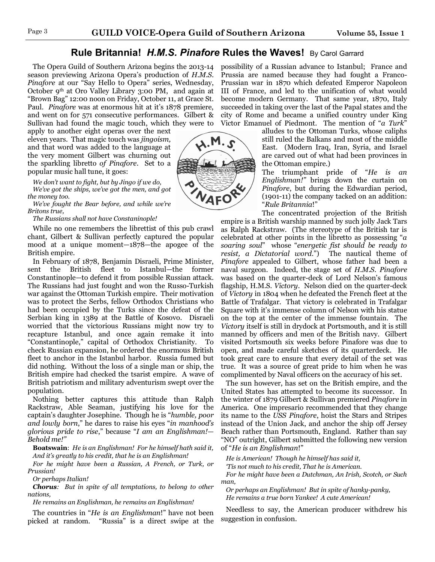#### **Rule Britannia!** *H.M.S. Pinafore* **Rules the Waves!** By Carol Garrard

The Opera Guild of Southern Arizona begins the 2013-14 season previewing Arizona Opera's production of *H.M.S. Pinafore* at our "Say Hello to Opera" series, Wednesday, October 9th at Oro Valley Library 3:00 PM, and again at "Brown Bag" 12:00 noon on Friday, October 11, at Grace St. Paul. *Pinafore* was at enormous hit at it's 1878 premiere, and went on for 571 consecutive performances. Gilbert & Sullivan had found the magic touch, which they were to

apply to another eight operas over the next eleven years. That magic touch was *jingoism,*  and that word was added to the language at the very moment Gilbert was churning out the sparkling libretto *of Pinafore*. Set to a popular music hall tune, it goes:

*We don't want to fight, but by Jingo if we do, We've got the ships, we've got the men, and got the money too.* 

*We've fought the Bear before, and while we're Britons true,* 

*The Russians shall not have Constaninople!* 

While no one remembers the librettist of this pub crawl chant, Gilbert & Sullivan perfectly captured the popular mood at a unique moment—1878—the apogee of the British empire.

In February of 1878, Benjamin Disraeli, Prime Minister, sent the British fleet to Istanbul—the former Constantinople—to defend it from possible Russian attack. The Russians had just fought and won the Russo-Turkish war against the Ottoman Turkish empire. Their motivation was to protect the Serbs, fellow Orthodox Christians who had been occupied by the Turks since the defeat of the Serbian king in 1389 at the Battle of Kosovo. Disraeli worried that the victorious Russians might now try to recapture Istanbul, and once again remake it into "Constantinople," capital of Orthodox Christianity. To check Russian expansion, he ordered the enormous British fleet to anchor in the Istanbul harbor. Russia fumed but did nothing. Without the loss of a single man or ship, the British empire had checked the tsarist empire. A wave of British patriotism and military adventurism swept over the population.

Nothing better captures this attitude than Ralph Rackstraw, Able Seaman, justifying his love for the captain's daughter Josephine. Though he is "*humble, poor and lowly born*," he dares to raise his eyes "*in manhood's glorious pride to rise*," because "*I am an Englishman!— Behold me!"*

**Boatswain**: *He is an Englishman! For he himself hath said it, And it's greatly to his credit, that he is an Englishman!* 

*For he might have been a Russian, A French, or Turk, or Prussian!* 

*Or perhaps Italian!* 

*Chorus: But in spite of all temptations, to belong to other nations,* 

*He remains an Englishman, he remains an Englishman!*

The countries in "*He is an Englishman*!" have not been picked at random. "Russia" is a direct swipe at the possibility of a Russian advance to Istanbul; France and Prussia are named because they had fought a Franco-Prussian war in 1870 which defeated Emperor Napoleon III of France, and led to the unification of what would become modern Germany. That same year, 1870, Italy succeeded in taking over the last of the Papal states and the city of Rome and became a unified country under King Victor Emanuel of Piedmont. The mention of "*a Turk*"

alludes to the Ottoman Turks, whose caliphs still ruled the Balkans and most of the middle East. (Modern Iraq, Iran, Syria, and Israel are carved out of what had been provinces in the Ottoman empire.)

The triumphant pride of "*He is an Englishman!"* brings down the curtain on *Pinafore*, but during the Edwardian period, (1901-11) the company tacked on an addition: "*Rule Britannia*!"

The concentrated projection of the British empire is a British warship manned by such jolly Jack Tars as Ralph Rackstraw. (The stereotype of the British tar is celebrated at other points in the libretto as possessing "*a soaring soul*" whose "*energetic fist should be ready to resist, a Dictatorial word*.") The nautical theme of *Pinafore* appealed to Gilbert, whose father had been a naval surgeon. Indeed, the stage set of *H.M.S. Pinafore* was based on the quarter-deck of Lord Nelson's famous flagship, H.M.S. *Victory*. Nelson died on the quarter-deck of *Victory* in 1804 when he defeated the French fleet at the Battle of Trafalgar. That victory is celebrated in Trafalgar Square with it's immense column of Nelson with his statue on the top at the center of the immense fountain. The *Victory* itself is still in drydock at Portsmouth, and it is still manned by officers and men of the British navy. Gilbert visited Portsmouth six weeks before Pinafore was due to open, and made careful sketches of its quarterdeck. He took great care to ensure that every detail of the set was true. It was a source of great pride to him when he was complimented by Naval officers on the accuracy of his set.

The sun however, has set on the British empire, and the United States has attempted to become its successor. In the winter of 1879 Gilbert & Sullivan premiered *Pinafore* in America. One impresario recommended that they change its name to the *USS Pinafore*, hoist the Stars and Stripes instead of the Union Jack, and anchor the ship off Jersey Beach rather than Portsmouth, England. Rather than say "NO" outright, Gilbert submitted the following new version of "*He is an Englishman*!"

*He is American! Though he himself has said it,* 

*'Tis not much to his credit, That he is American.* 

*For he might have been a Dutchman, An Irish, Scotch, or Such man,* 

*Or perhaps an Englishman! But in spite of hanky-panky, He remains a true born Yankee! A cute American!* 

Needless to say, the American producer withdrew his suggestion in confusion.